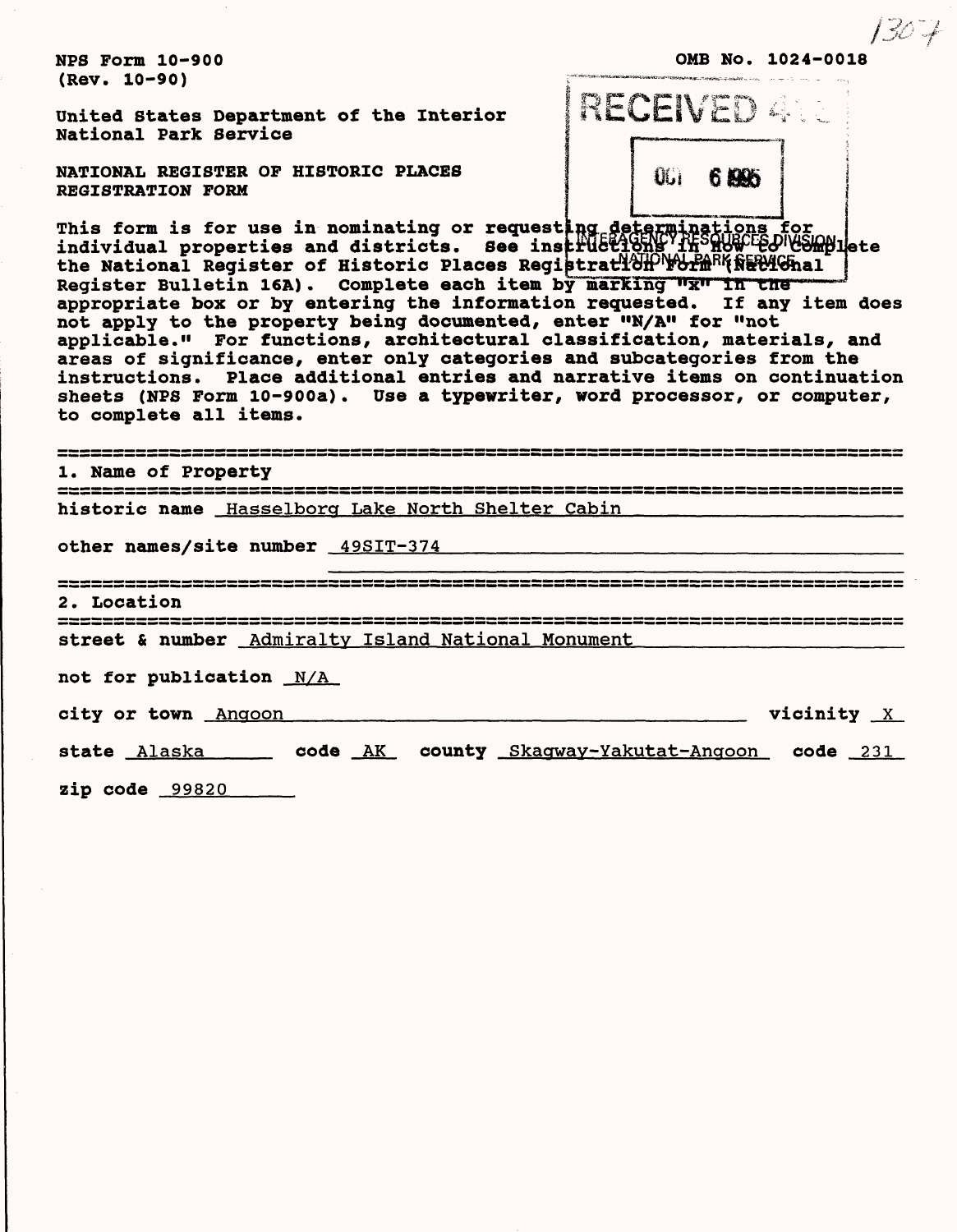NFS Form 10-900 (Rev. 10-90)

United States Department of the Interior National Park Service

NATIONAL REGISTER OF HISTORIC PLACES **REGISTRATION FORM** 

This form is for use in nominating or request ₽Ĩ∕<del>ŰŜIΩ</del>NJete individual properties and districts. See ins the National Register of Historic Places Registration with KREMGhal Register Bulletin 16A). Complete each item by marking "x" In the appropriate box or by entering the information requested. If any item does not apply to the property being documented, enter "N/A" for "not applicable." For functions, architectural classification, materials, and areas of significance, enter only categories and subcategories from the instructions. Place additional entries and narrative items on continuation sheets (NPS Form 10-900a). Use a typewriter, word processor, or computer, to complete all items.

| 1. Name of Property                                |
|----------------------------------------------------|
| historic name Hasselborg Lake North Shelter Cabin  |
| other names/site number 49SIT-374                  |
| 2. Location                                        |
| street & number Admiralty Island National Monument |
| not for publication N/A                            |
| city or town Angoon<br>vicinity X                  |
|                                                    |
| zip code 99820                                     |

0MB NO. 1024-0018

RECEIVED

 $\mathbf{u}$ 

6 BBK

130 4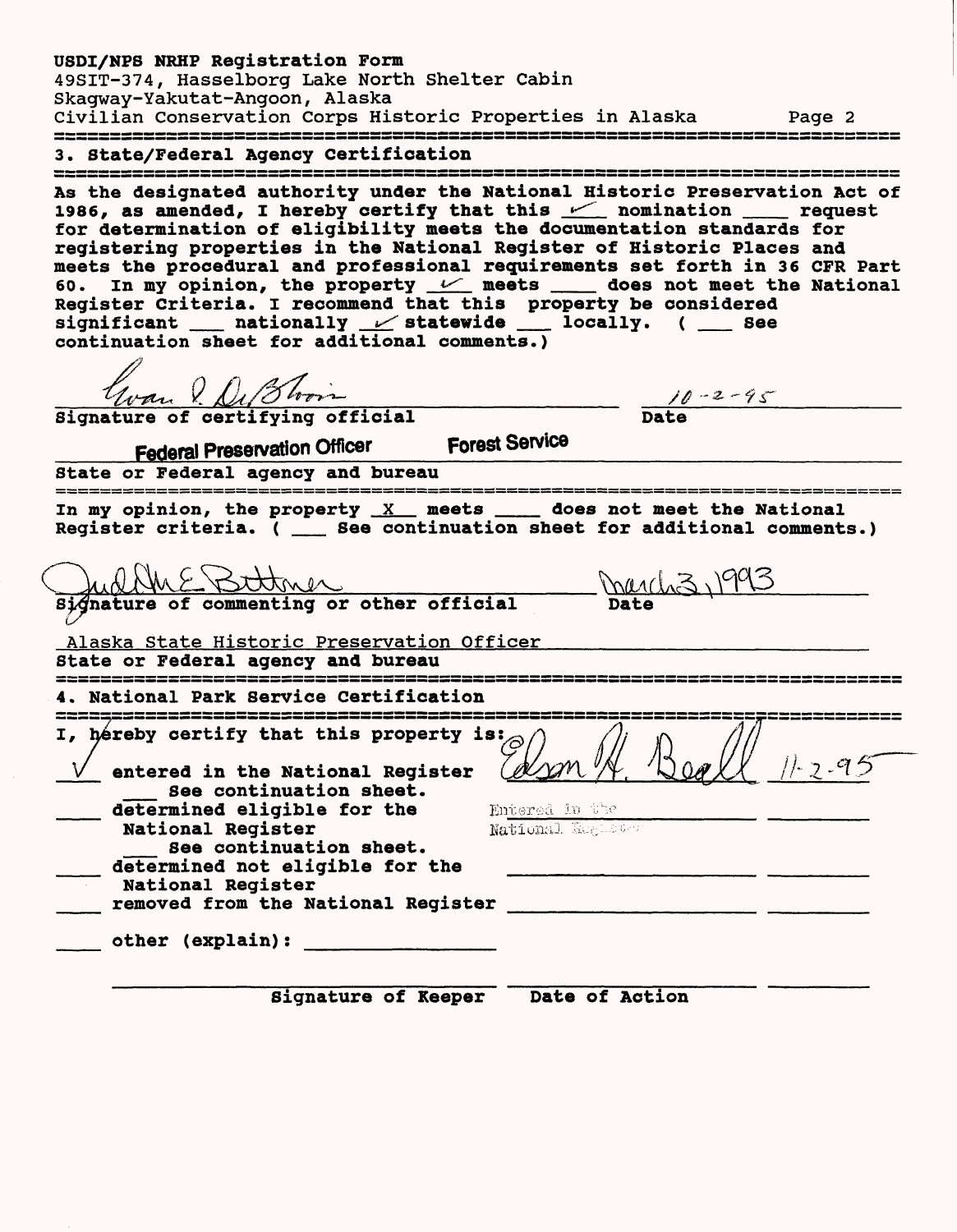| USDI/NPS NRHP Registration Form<br>49SIT-374, Hasselborg Lake North Shelter Cabin<br>Skagway-Yakutat-Angoon, Alaska                                                                                                                                                                                                                                                                                                                                                                                                                                                                                                                                                         |                                                    |             |
|-----------------------------------------------------------------------------------------------------------------------------------------------------------------------------------------------------------------------------------------------------------------------------------------------------------------------------------------------------------------------------------------------------------------------------------------------------------------------------------------------------------------------------------------------------------------------------------------------------------------------------------------------------------------------------|----------------------------------------------------|-------------|
| Civilian Conservation Corps Historic Properties in Alaska Page 2<br>3. State/Federal Agency Certification                                                                                                                                                                                                                                                                                                                                                                                                                                                                                                                                                                   |                                                    |             |
| As the designated authority under the National Historic Preservation Act of<br>1986, as amended, I hereby certify that this $\swarrow$ nomination ____ request<br>for determination of eligibility meets the documentation standards for<br>registering properties in the National Register of Historic Places and<br>meets the procedural and professional requirements set forth in 36 CFR Part<br>60. In my opinion, the property $\angle$ meets ____ does not meet the National<br>Register Criteria. I recommend that this property be considered<br>significant __ nationally $\angle$ statewide __ locally. ( __ See<br>continuation sheet for additional comments.) |                                                    |             |
| <i>luan 1. 01/8 hora</i><br>signature of certifying official                                                                                                                                                                                                                                                                                                                                                                                                                                                                                                                                                                                                                |                                                    |             |
|                                                                                                                                                                                                                                                                                                                                                                                                                                                                                                                                                                                                                                                                             | $\frac{10 - 2 - 95}{\text{Data}}$                  |             |
| <b>Forest Service</b><br><b>Federal Preservation Officer</b>                                                                                                                                                                                                                                                                                                                                                                                                                                                                                                                                                                                                                |                                                    |             |
| State or Federal agency and bureau                                                                                                                                                                                                                                                                                                                                                                                                                                                                                                                                                                                                                                          |                                                    |             |
| Register criteria. ( __ See continuation sheet for additional comments.)<br>Julian Station Commenting or other official Date<br>Alaska State Historic Preservation Officer<br>State or Federal agency and bureau                                                                                                                                                                                                                                                                                                                                                                                                                                                            |                                                    |             |
| 4. National Park Service Certification                                                                                                                                                                                                                                                                                                                                                                                                                                                                                                                                                                                                                                      |                                                    |             |
| I. hereby certify that this property is: $\bigcap$<br>entered in the National Register<br>See continuation sheet.<br>determined eligible for the<br>National Register<br>See continuation sheet.<br>determined not eligible for the<br>National Register<br>removed from the National Register                                                                                                                                                                                                                                                                                                                                                                              | $\bigwedge$<br>Entered in the<br>National Englisor | $11 - 7.95$ |
| <b>Signature of Keeper</b>                                                                                                                                                                                                                                                                                                                                                                                                                                                                                                                                                                                                                                                  | Date of Action                                     |             |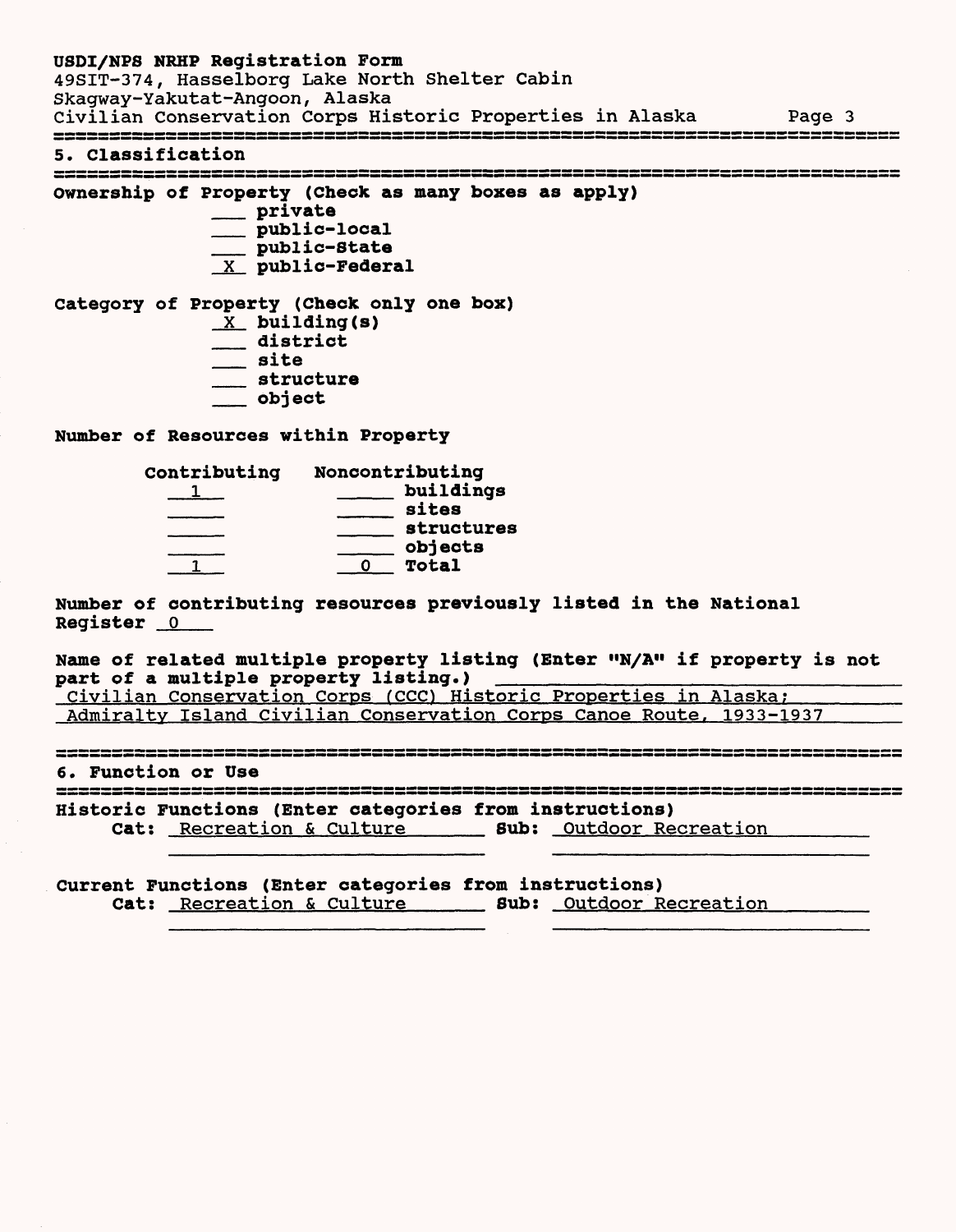| USDI/NPS NRHP Registration Form<br>49SIT-374, Hasselborg Lake North Shelter Cabin<br>Skaqway-Yakutat-Angoon, Alaska<br>Civilian Conservation Corps Historic Properties in Alaska<br>Page 3                                                                    |
|---------------------------------------------------------------------------------------------------------------------------------------------------------------------------------------------------------------------------------------------------------------|
| 5. Classification<br>ة عرف الأخرى التي تجاوز المستقرر المستقرر المستقرر المستقرر المستقرر المستقرر المستقرر المستقرر المستقرر المستقر<br>لأهب الله في بين الأخرى الأخرى المستقرر المستقرر المستقرر المستقرر المستقرر المستقرر المستقرر المستقرر المست         |
| Ownership of Property (Check as many boxes as apply)<br>__ private<br>__ public-local<br>___ public-State<br>X public-Federal                                                                                                                                 |
| Category of Property (Check only one box)<br>$X$ building(s)<br>district<br>__ site<br>__ structure<br>object                                                                                                                                                 |
| Number of Resources within Property                                                                                                                                                                                                                           |
| Contributing Noncontributing<br>_____ buildings<br>$\frac{1}{\sqrt{1-\frac{1}{2}}}$<br>structures<br>objects<br>$\frac{1}{1}$<br>$0$ Total                                                                                                                    |
| Number of contributing resources previously listed in the National<br>Register <sub>0</sub>                                                                                                                                                                   |
| Name of related multiple property listing (Enter "N/A" if property is not<br>part of a multiple property listing.)<br>Civilian Conservation Corps (CCC) Historic Properties in Alaska;<br>Admiralty Island Civilian Conservation Corps Canoe Route, 1933-1937 |

6. Function or Use Historic Functions (Enter categories from instructions) Cat: Recreation & Culture 8ub: Outdoor Recreation

Current Functions (Enter categories from instructions) Cats Recreation & Culture\_\_\_\_\_\_\_ Subs Outdoor Recreation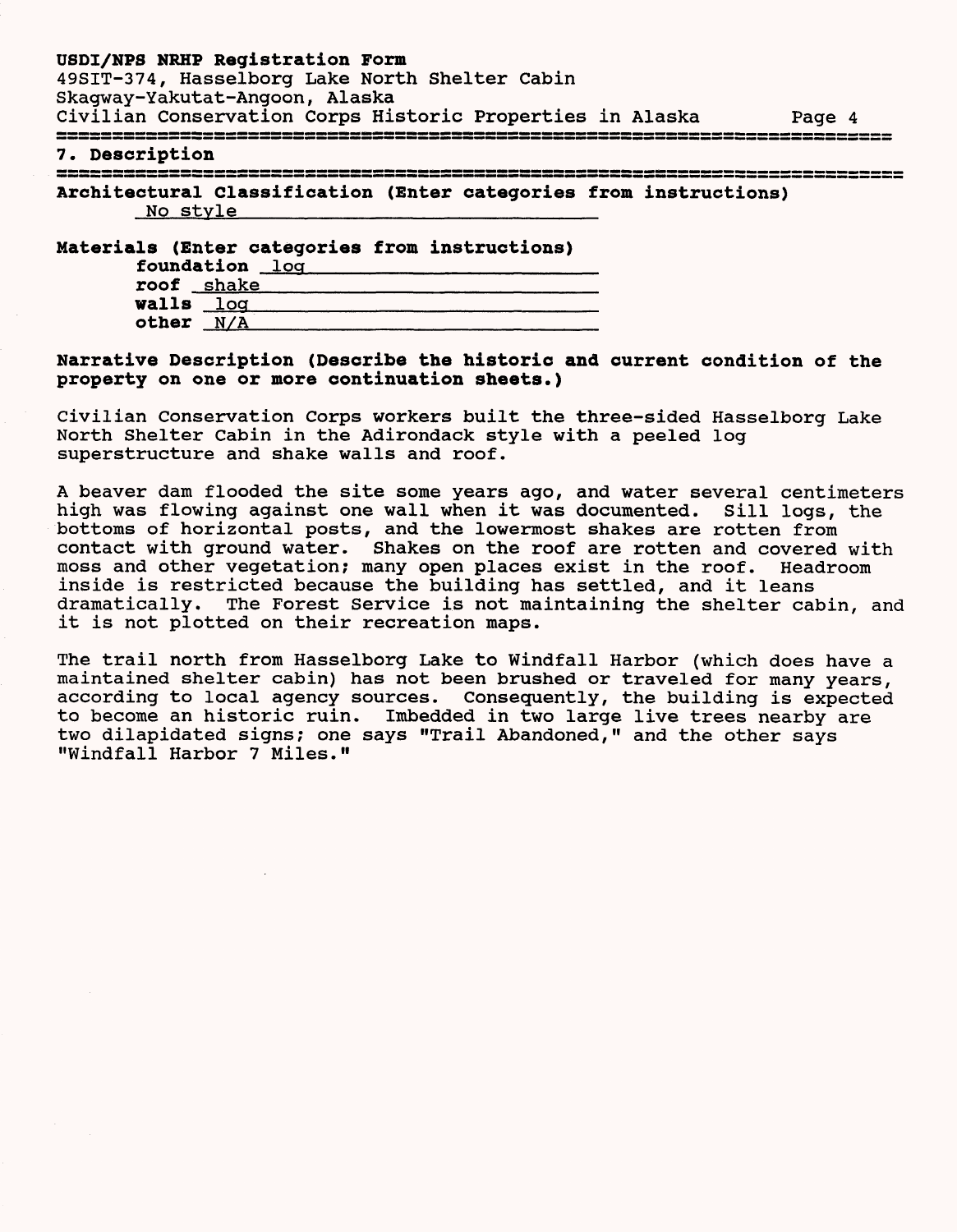| USDI/NPS NRHP Registration Form                                                                                               |        |  |
|-------------------------------------------------------------------------------------------------------------------------------|--------|--|
| 49SIT-374, Hasselborg Lake North Shelter Cabin                                                                                |        |  |
| Skaqway-Yakutat-Angoon, Alaska                                                                                                |        |  |
| Civilian Conservation Corps Historic Properties in Alaska                                                                     | Page 4 |  |
| سم علم وسن علم علم علم بعد كان يكه في علم علم علم نسبة الله للي علم يذله ليبن ليبن الله كي وي ويلة لي الله الي الله الله اليه |        |  |

### 7. Description

Architectural Classification (Enter categories from instructions) No style\_\_\_\_\_\_\_\_\_\_\_\_\_\_\_\_\_\_\_\_\_\_\_\_\_

Materials (Enter categories from instructions)

| foundation   |            | - 1 oa |
|--------------|------------|--------|
|              | roof shake |        |
| <b>walls</b> | - loa      |        |
| other N/A    |            |        |

## Narrative Description (Describe the historic and current condition of the property on one or more continuation sheets.)

Civilian Conservation Corps workers built the three-sided Hasselborg Lake North Shelter Cabin in the Adirondack style with a peeled log superstructure and shake walls and roof.

A beaver dam flooded the site some years ago, and water several centimeters high was flowing against one wall when it was documented. Sill logs, the bottoms of horizontal posts, and the lowermost shakes are rotten from contact with ground water. Shakes on the roof are rotten and covered with moss and other vegetation; many open places exist in the roof. Headroom inside is restricted because the building has settled, and it leans dramatically. The Forest Service is not maintaining the shelter cabin, and it is not plotted on their recreation maps.

The trail north from Hasselborg Lake to Windfall Harbor (which does have a maintained shelter cabin) has not been brushed or traveled for many years, according to local agency sources. Consequently, the building is expected to become an historic ruin. Imbedded in two large live trees nearby are two dilapidated signs; one says "Trail Abandoned," and the other says "Windfall Harbor 7 Miles."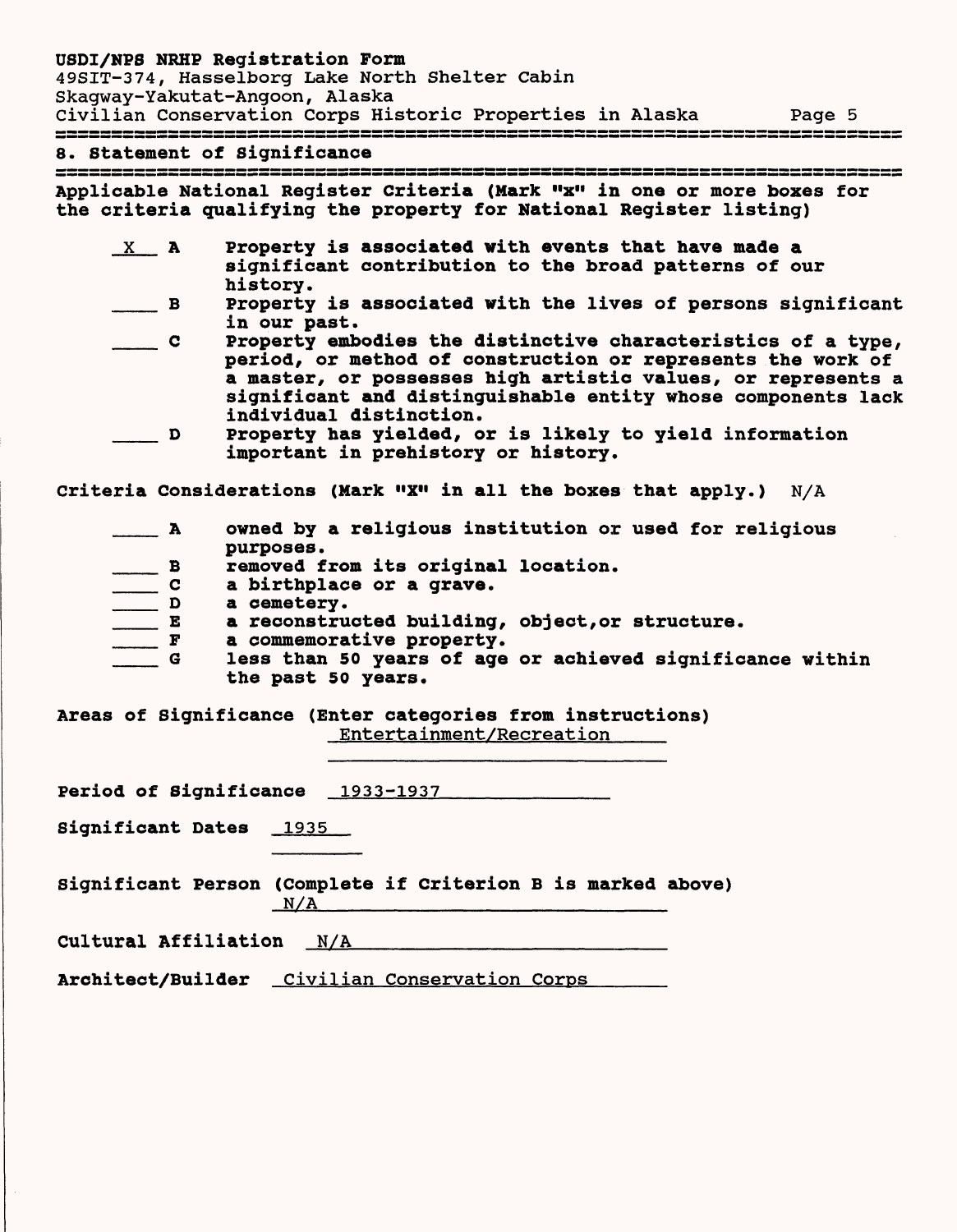|                                                                                                                                 | USDI/NPS NRHP Registration Form<br>49SIT-374, Hasselborg Lake North Shelter Cabin<br>Skaqway-Yakutat-Angoon, Alaska<br>Civilian Conservation Corps Historic Properties in Alaska Page 5                                                                                                |
|---------------------------------------------------------------------------------------------------------------------------------|----------------------------------------------------------------------------------------------------------------------------------------------------------------------------------------------------------------------------------------------------------------------------------------|
|                                                                                                                                 | 8. Statement of Significance                                                                                                                                                                                                                                                           |
|                                                                                                                                 | Applicable National Register Criteria (Mark "x" in one or more boxes for<br>the criteria qualifying the property for National Register listing)                                                                                                                                        |
| $X$ $A$                                                                                                                         | Property is associated with events that have made a<br>significant contribution to the broad patterns of our<br>history.                                                                                                                                                               |
| $\overline{\phantom{a}}$ B                                                                                                      | Property is associated with the lives of persons significant<br>in our past.                                                                                                                                                                                                           |
| $\overline{\phantom{a}}$ $\overline{\phantom{a}}$ $\overline{\phantom{a}}$ $\overline{\phantom{a}}$                             | Property embodies the distinctive characteristics of a type,<br>period, or method of construction or represents the work of<br>a master, or possesses high artistic values, or represents a<br>significant and distinguishable entity whose components lack<br>individual distinction. |
| ם ב                                                                                                                             | Property has yielded, or is likely to yield information<br>important in prehistory or history.                                                                                                                                                                                         |
|                                                                                                                                 | Criteria Considerations (Mark "X" in all the boxes that apply.) $N/A$                                                                                                                                                                                                                  |
| $\overline{\phantom{a}}$ $\overline{\phantom{a}}$                                                                               | owned by a religious institution or used for religious                                                                                                                                                                                                                                 |
| $\qquad \qquad \bullet$                                                                                                         | purposes.<br>removed from its original location.                                                                                                                                                                                                                                       |
| $\frac{\ }{1}$ c                                                                                                                | a birthplace or a grave.                                                                                                                                                                                                                                                               |
| $\overline{\phantom{a}}$<br>$\overline{\phantom{a}}$ $\overline{\phantom{a}}$ $\overline{\phantom{a}}$ $\overline{\phantom{a}}$ | a cemetery.<br>a reconstructed building, object, or structure.                                                                                                                                                                                                                         |
| $\mathbf{F}$                                                                                                                    | a commemorative property.                                                                                                                                                                                                                                                              |
| $\overline{\phantom{a}}$ G                                                                                                      | less than 50 years of age or achieved significance within<br>the past 50 years.                                                                                                                                                                                                        |
|                                                                                                                                 | Areas of Significance (Enter categories from instructions)<br>Entertainment/Recreation                                                                                                                                                                                                 |
|                                                                                                                                 | Period of Significance 1933-1937                                                                                                                                                                                                                                                       |
| Significant Dates 1935                                                                                                          |                                                                                                                                                                                                                                                                                        |
|                                                                                                                                 | Significant Person (Complete if Criterion B is marked above)<br>N/A                                                                                                                                                                                                                    |
|                                                                                                                                 | Cultural Affiliation N/A                                                                                                                                                                                                                                                               |

Architect/Builder Civilian Conservation Corps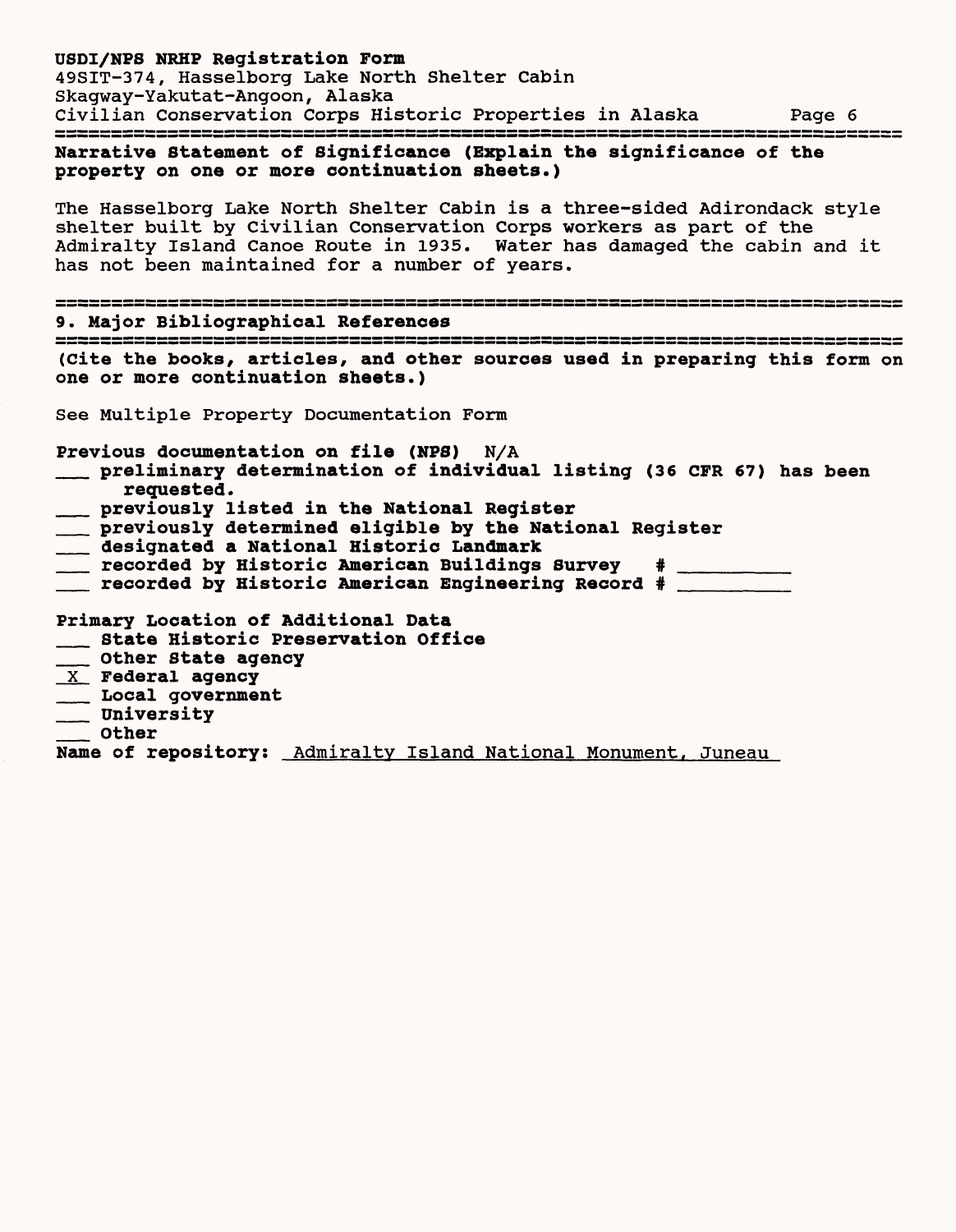| USDI/NPS NRHP Registration Form<br>49SIT-374, Hasselborg Lake North Shelter Cabin<br>Skaqway-Yakutat-Angoon, Alaska<br>Civilian Conservation Corps Historic Properties in Alaska Page 6                                                                                                                                                                                                                                                                                                                                |
|------------------------------------------------------------------------------------------------------------------------------------------------------------------------------------------------------------------------------------------------------------------------------------------------------------------------------------------------------------------------------------------------------------------------------------------------------------------------------------------------------------------------|
| Narrative Statement of Significance (Explain the significance of the<br>property on one or more continuation sheets.)                                                                                                                                                                                                                                                                                                                                                                                                  |
| The Hasselborg Lake North Shelter Cabin is a three-sided Adirondack style<br>shelter built by Civilian Conservation Corps workers as part of the<br>Admiralty Island Canoe Route in 1935. Water has damaged the cabin and it<br>has not been maintained for a number of years.                                                                                                                                                                                                                                         |
| 9. Major Bibliographical References                                                                                                                                                                                                                                                                                                                                                                                                                                                                                    |
| ۔<br>کی بہت میں میں نہیں کیا گیا جس میں کہ میں کہ امیر ہیں کہ رہی ہیں، کہ کہ بجل سے بھی کہ 196 اس کی میں سے بھی اس<br>کتا کہ بنیہ بھت بنیہ کت اللہ میں بھی ایک شہ اب بند بلال میں بیچ بود شہ میں بھی ہیں جبل سے جبل ہوں وں میں بہت<br>-562083235520223333322202333315220252<br>(Cite the books, articles, and other sources used in preparing this form on<br>one or more continuation sheets.)<br>See Multiple Property Documentation Form                                                                            |
| Previous documentation on file (NPS) N/A<br>preliminary determination of individual listing (36 CFR 67) has been<br>requested.<br>__ previously listed in the National Register<br>__ previously determined eligible by the National Register<br>designated a National Historic Landmark<br>__ recorded by Historic American Buildings Survey<br>___ recorded by Historic American Buildings Survey # ____________________________<br>___ recorded by Historic American Engineering Record # _________________________ |
| Primary Location of Additional Data<br>__ State Historic Preservation Office<br>__ Other State agency<br>X Federal agency<br>__ Local government<br>University<br>__ Other<br>Name of repository: Admiralty Island National Monument, Juneau                                                                                                                                                                                                                                                                           |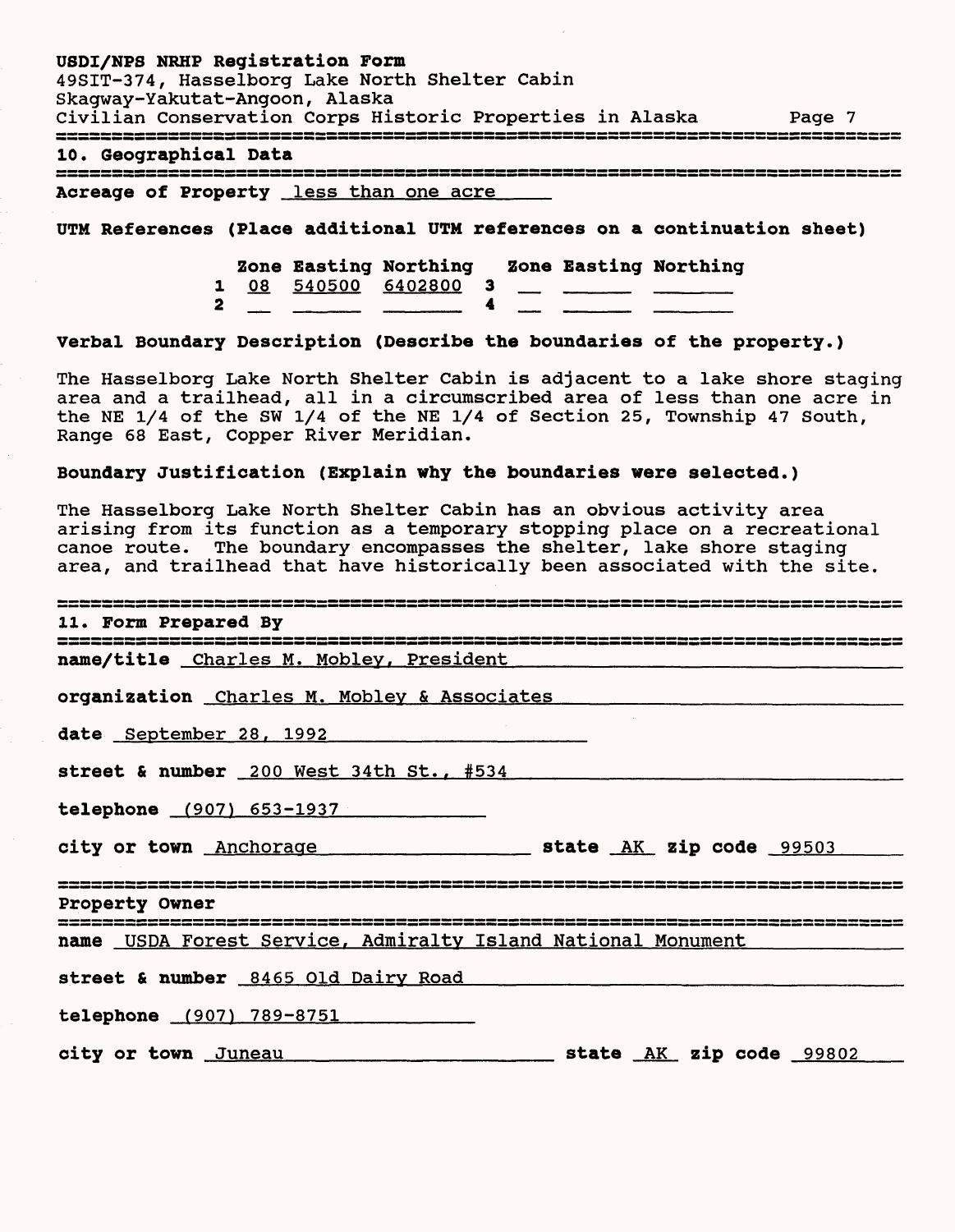| USDI/NPS NRHP Registration Form                                                                                        |                                                                                                                                |
|------------------------------------------------------------------------------------------------------------------------|--------------------------------------------------------------------------------------------------------------------------------|
| 49SIT-374, Hasselborg Lake North Shelter Cabin                                                                         |                                                                                                                                |
| Skagway-Yakutat-Angoon, Alaska                                                                                         |                                                                                                                                |
| Civilian Conservation Corps Historic Properties in Alaska                                                              | Page 7                                                                                                                         |
| ا ذلك بالثلا بلغه فيه أنتنت نائنا بنيه تنيه مبنا ننك ذلك على ولتلأ قلبت فيه فيه فيه ويبية بنيه ذهب دهم عمر فيه أسب معد | نحب فسن سلك بعدل بكذل بالثلا بالثلا كالل استة الألم عنده لنسا فيها ناكب فلحه فيبال توليا فلحه بلغت فانت الثرية بالي تكال الثلا |

**10. Geographical Data Acreage of Property** less than one acre\_\_\_\_

UTM **References (Place additional** UTM **references on a continuation sheet)**

**Zone Easting Northing Zone Easting Northing** 1 08 540500 6402800 3 \_ \_\_\_\_\_ \_\_\_\_\_\_  $\frac{1}{2}$   $\frac{08}{-}$   $\frac{540500}{-}$   $\frac{6402800}{-}$   $\frac{3}{-}$   $\frac{3}{-}$   $\frac{3}{-}$   $\frac{3}{-}$   $\frac{3}{-}$   $\frac{3}{-}$   $\frac{3}{-}$   $\frac{3}{-}$   $\frac{3}{-}$   $\frac{3}{-}$   $\frac{3}{-}$   $\frac{3}{-}$   $\frac{3}{-}$   $\frac{3}{-}$   $\frac{3}{-}$   $\frac{3}{-}$   $\frac{3}{-}$ 

**Verbal Boundary Description (Describe the boundaries of the property.)**

The Hasselborg Lake North Shelter Cabin is adjacent to a lake shore staging area and a trailhead, all in a circumscribed area of less than one acre in the NE 1/4 of the SW 1/4 of the NE 1/4 of Section 25, Township 47 South, Range 68 East, Copper River Meridian.

## **Boundary Justification (Explain why the boundaries were selected.)**

The Hasselborg Lake North Shelter Cabin has an obvious activity area arising from its function as a temporary stopping place on a recreational canoe route. The boundary encompasses the shelter, lake shore staging area, and trailhead that have historically been associated with the site.

# 

**11. Form Prepared By** name/title Charles M. Mobley, President

organization Charles M. Mobley & Associates

date September 28, 1992

street & number 200 West 34th St., #534

telephone (907) 653-1937

**city or town** Anchorage\_\_\_\_\_\_\_\_\_\_\_\_\_ **state** AK **zip code** 99503

Property Owner

name USDA Forest Service, Admiralty Island National Monument

**street & number** 8465 Old Dairy Road\_\_\_\_\_\_\_\_\_\_\_\_\_\_\_\_\_\_\_\_

**telephone** (907) 789-8751\_\_\_\_\_\_\_\_\_

**city or town** Juneau\_\_\_\_\_\_\_\_\_\_\_\_\_\_\_\_\_\_ **state** AK **zip code** 99802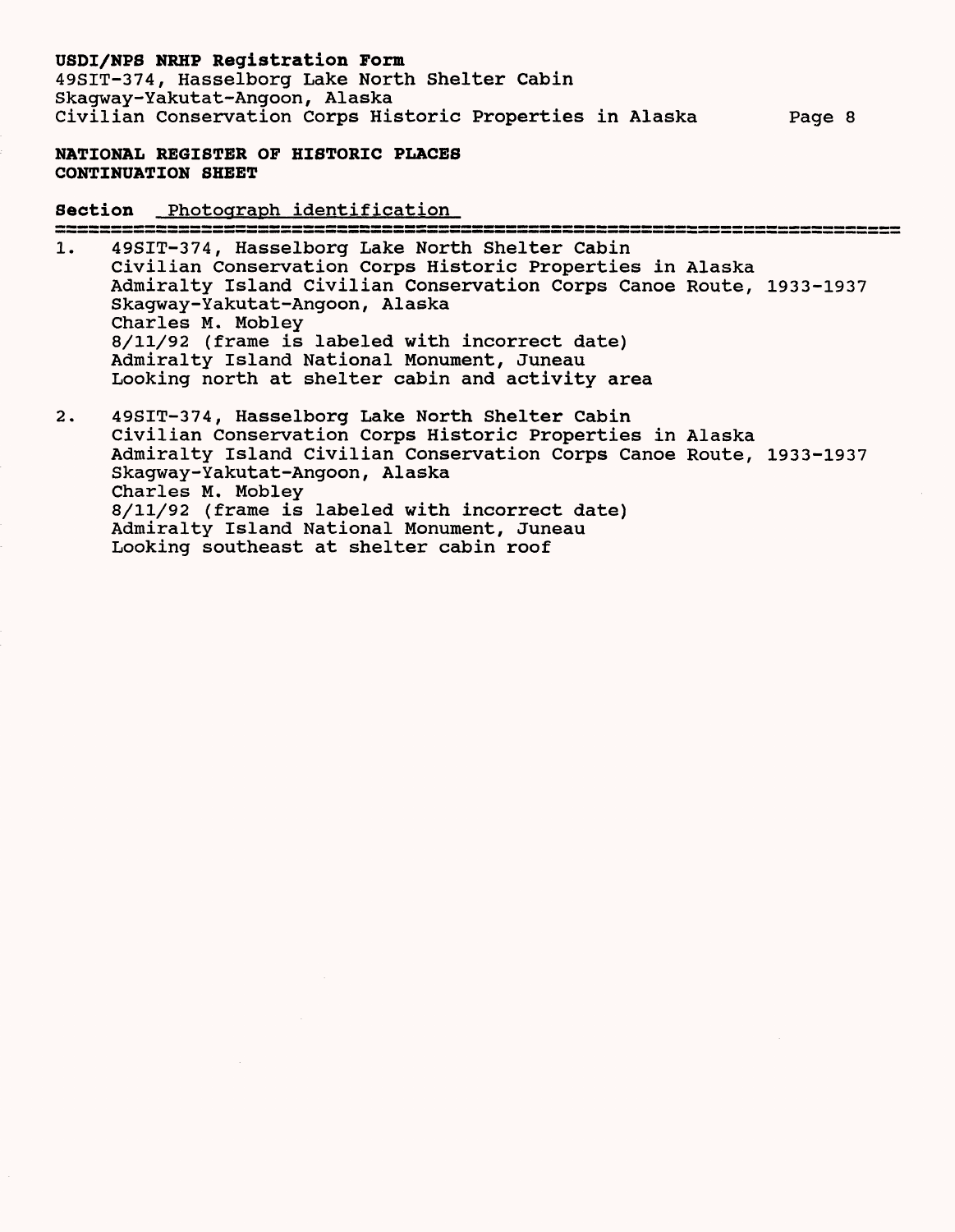**NATIONAL REGISTER OF HISTORIC PLACES CONTINUATION SHEET**

**Section** Photograph identification

- 1. 49SIT-374, Hasselborg Lake North Shelter Cabin Civilian Conservation Corps Historic Properties in Alaska Admiralty Island Civilian Conservation Corps Canoe Route, 1933-1937 Skagway-Yakutat-Angoon, Alaska Charles M. Mobley 8/11/92 (frame is labeled with incorrect date) Admiralty Island National Monument, Juneau Looking north at shelter cabin and activity area
- 2. 49SIT-374, Hasselborg Lake North Shelter Cabin Civilian Conservation Corps Historic Properties in Alaska Admiralty Island Civilian Conservation Corps Canoe Route, 1933-1937 Skagway-Yakutat-Angoon, Alaska Charles M. Mobley 8/11/92 (frame is labeled with incorrect date) Admiralty Island National Monument, Juneau Looking southeast at shelter cabin roof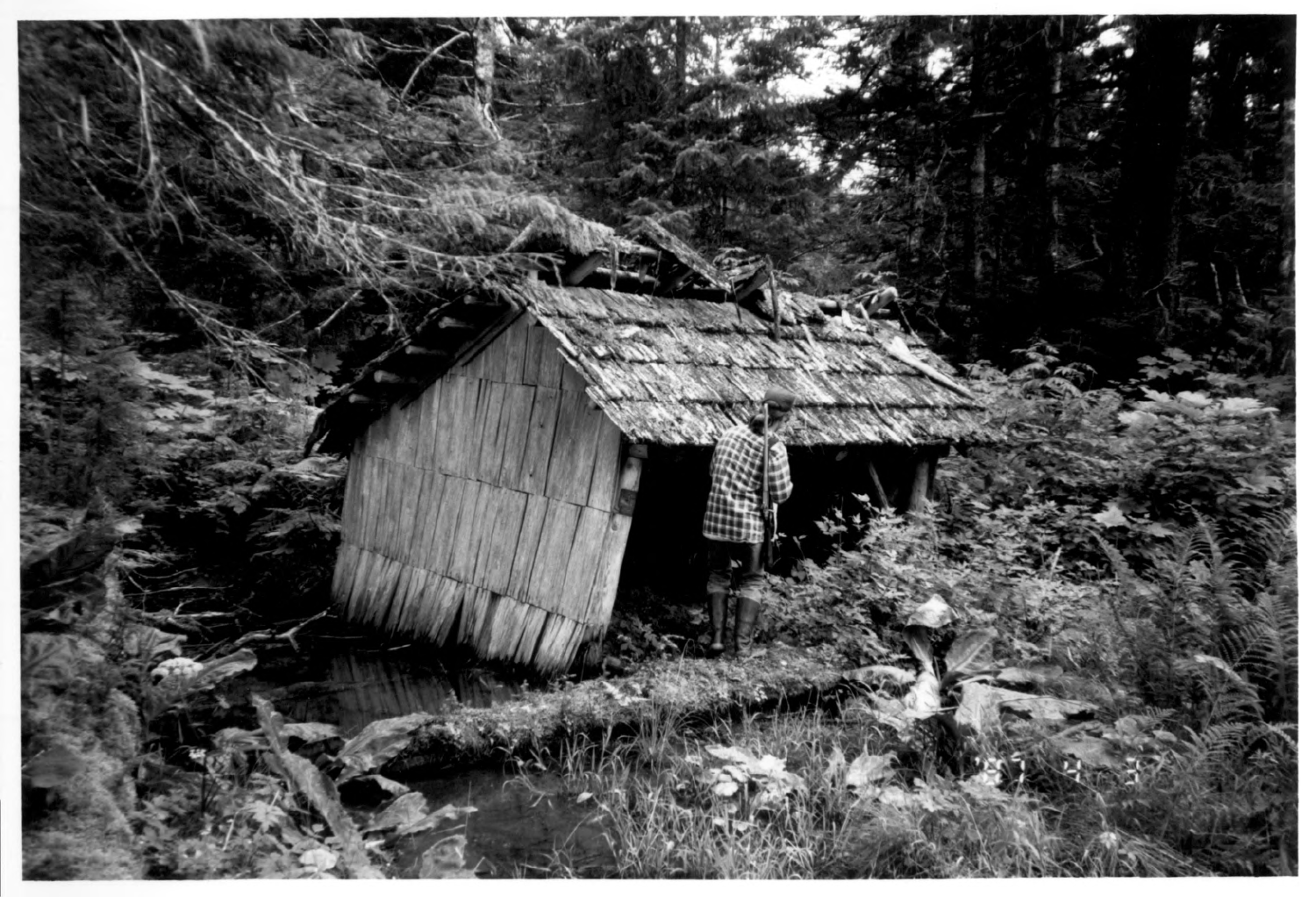